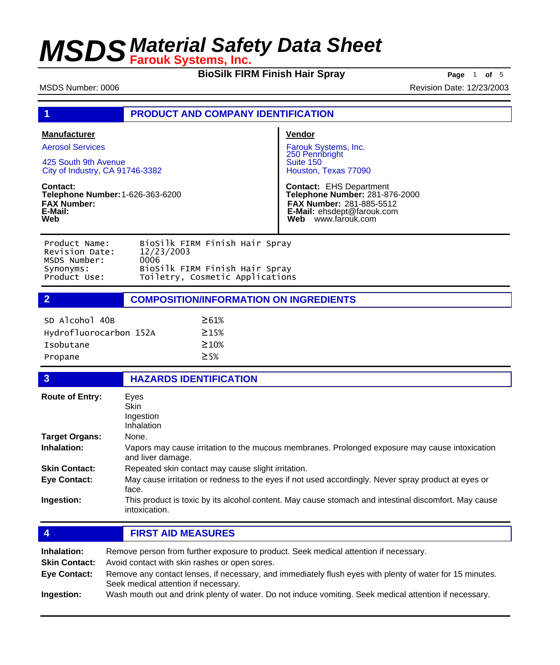Seek medical attention if necessary.

**Eye Contact:**

**BioSilk FIRM Finish Hair Spray** Page 1 of 5

MSDS Number: 0006 **Revision Date: 12/23/2003** 

| 1                                                                                                                                                                                                         | <b>PRODUCT AND COMPANY IDENTIFICATION</b>                                                                                                                               |                                                                                                                                                                                                                                                  |  |  |
|-----------------------------------------------------------------------------------------------------------------------------------------------------------------------------------------------------------|-------------------------------------------------------------------------------------------------------------------------------------------------------------------------|--------------------------------------------------------------------------------------------------------------------------------------------------------------------------------------------------------------------------------------------------|--|--|
| <b>Manufacturer</b><br><b>Aerosol Services</b><br>425 South 9th Avenue<br>City of Industry, CA 91746-3382<br><b>Contact:</b><br>Telephone Number: 1-626-363-6200<br><b>FAX Number:</b><br>E-Mail:<br>Web  |                                                                                                                                                                         | <b>Vendor</b><br>Farouk Systems, Inc.<br>250 Pennbright<br>Suite 150<br>Houston, Texas 77090<br><b>Contact: EHS Department</b><br>Telephone Number: 281-876-2000<br>FAX Number: 281-885-5512<br>E-Mail: ehsdept@farouk.com<br>Web www.farouk.com |  |  |
| BioSilk FIRM Finish Hair Spray<br>Product Name:<br>Revision Date:<br>12/23/2003<br>0006<br>MSDS Number:<br>BioSilk FIRM Finish Hair Spray<br>Synonyms:<br>Product Use:<br>Toiletry, Cosmetic Applications |                                                                                                                                                                         |                                                                                                                                                                                                                                                  |  |  |
| $\overline{2}$                                                                                                                                                                                            | <b>COMPOSITION/INFORMATION ON INGREDIENTS</b>                                                                                                                           |                                                                                                                                                                                                                                                  |  |  |
| SD Alcohol 40B<br>Hydrofluorocarbon 152A<br><b>Isobutane</b><br>Propane                                                                                                                                   | $\geq 61\%$<br>$\geq 15%$<br>$\geq$ 10%<br>$\geq$ 5%                                                                                                                    |                                                                                                                                                                                                                                                  |  |  |
| $\mathbf{3}$                                                                                                                                                                                              | <b>HAZARDS IDENTIFICATION</b>                                                                                                                                           |                                                                                                                                                                                                                                                  |  |  |
| <b>Route of Entry:</b><br><b>Target Organs:</b><br>Inhalation:                                                                                                                                            | Eyes<br>Skin<br>Ingestion<br>Inhalation<br>None.<br>Vapors may cause irritation to the mucous membranes. Prolonged exposure may cause intoxication<br>and liver damage. |                                                                                                                                                                                                                                                  |  |  |
| <b>Skin Contact:</b>                                                                                                                                                                                      | Repeated skin contact may cause slight irritation.                                                                                                                      |                                                                                                                                                                                                                                                  |  |  |
| <b>Eye Contact:</b>                                                                                                                                                                                       | May cause irritation or redness to the eyes if not used accordingly. Never spray product at eyes or<br>face.                                                            |                                                                                                                                                                                                                                                  |  |  |
| Ingestion:                                                                                                                                                                                                | This product is toxic by its alcohol content. May cause stomach and intestinal discomfort. May cause<br>intoxication.                                                   |                                                                                                                                                                                                                                                  |  |  |
| 4                                                                                                                                                                                                         | <b>FIRST AID MEASURES</b>                                                                                                                                               |                                                                                                                                                                                                                                                  |  |  |
| Inhalation:<br>Remove person from further exposure to product. Seek medical attention if necessary.<br>Avoid contact with skin rashes or open sores.<br><b>Skin Contact:</b>                              |                                                                                                                                                                         |                                                                                                                                                                                                                                                  |  |  |

Remove any contact lenses, if necessary, and immediately flush eyes with plenty of water for 15 minutes.

**Ingestion:** Wash mouth out and drink plenty of water. Do not induce vomiting. Seek medical attention if necessary.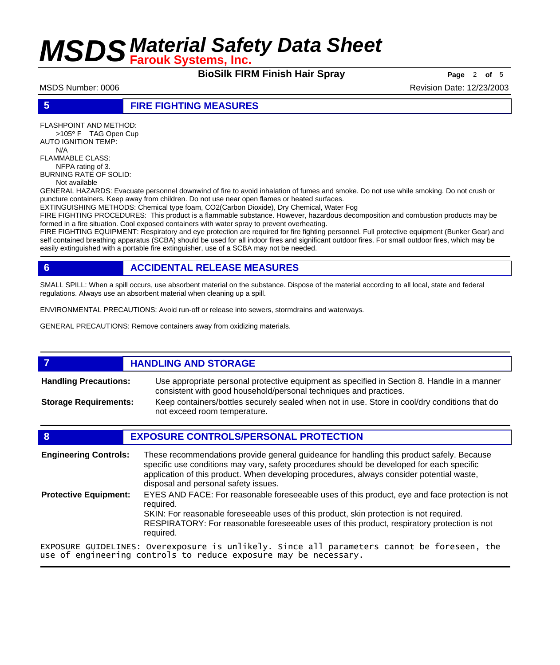**BioSilk FIRM Finish Hair Spray Page** <sup>2</sup> **of** <sup>5</sup>

MSDS Number: 0006 **Revision Date: 12/23/2003** Revision Date: 12/23/2003

### **5 FIRE FIGHTING MEASURES**

FLASHPOINT AND METHOD: >105° F TAG Open Cup AUTO IGNITION TEMP: N/A FLAMMABLE CLASS:

 NFPA rating of 3. BURNING RATE OF SOLID: Not available

GENERAL HAZARDS: Evacuate personnel downwind of fire to avoid inhalation of fumes and smoke. Do not use while smoking. Do not crush or puncture containers. Keep away from children. Do not use near open flames or heated surfaces.

EXTINGUISHING METHODS: Chemical type foam, CO2(Carbon Dioxide), Dry Chemical, Water Fog

FIRE FIGHTING PROCEDURES: This product is a flammable substance. However, hazardous decomposition and combustion products may be formed in a fire situation. Cool exposed containers with water spray to prevent overheating.

FIRE FIGHTING EQUIPMENT: Respiratory and eye protection are required for fire fighting personnel. Full protective equipment (Bunker Gear) and self contained breathing apparatus (SCBA) should be used for all indoor fires and significant outdoor fires. For small outdoor fires, which may be easily extinguished with a portable fire extinguisher, use of a SCBA may not be needed.

## **6 ACCIDENTAL RELEASE MEASURES**

SMALL SPILL: When a spill occurs, use absorbent material on the substance. Dispose of the material according to all local, state and federal regulations. Always use an absorbent material when cleaning up a spill.

ENVIRONMENTAL PRECAUTIONS: Avoid run-off or release into sewers, stormdrains and waterways.

GENERAL PRECAUTIONS: Remove containers away from oxidizing materials.

## **7 HANDLING AND STORAGE**

Use appropriate personal protective equipment as specified in Section 8. Handle in a manner consistent with good household/personal techniques and practices. **Handling Precautions:** Keep containers/bottles securely sealed when not in use. Store in cool/dry conditions that do not exceed room temperature. **Storage Requirements:**

### **8 EXPOSURE CONTROLS/PERSONAL PROTECTION** These recommendations provide general guideance for handling this product safely. Because specific use conditions may vary, safety procedures should be developed for each specific application of this product. When developing procedures, always consider potential waste, disposal and personal safety issues. **Engineering Controls:** EYES AND FACE: For reasonable foreseeable uses of this product, eye and face protection is not required. SKIN: For reasonable foreseeable uses of this product, skin protection is not required. RESPIRATORY: For reasonable foreseeable uses of this product, respiratory protection is not required. **Protective Equipment:** EXPOSURE GUIDELINES: Overexposure is unlikely. Since all parameters cannot be foreseen, the use of engineering controls to reduce exposure may be necessary.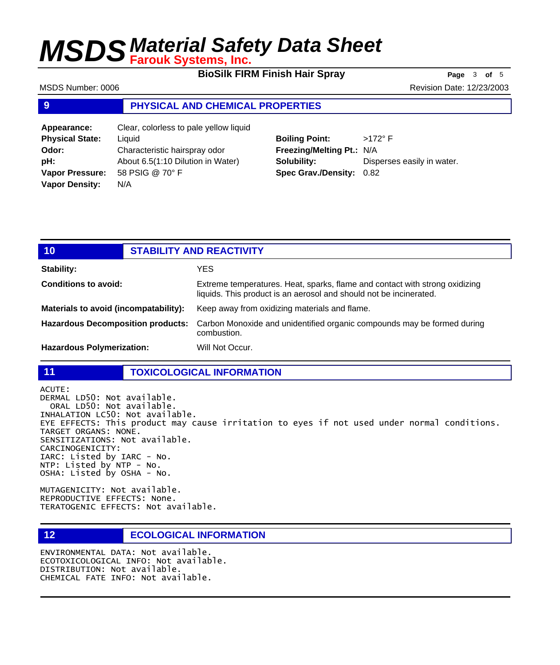**BioSilk FIRM Finish Hair Spray Page** 3 of 5

MSDS Number: 0006 **Revision Date: 12/23/2003** Revision Date: 12/23/2003

### **9 PHYSICAL AND CHEMICAL PROPERTIES**

**Appearance:** Clear, colorless to pale yellow liquid **Physical State:** Liquid **Odor:** Characteristic hairspray odor **pH:** About 6.5(1:10 Dilution in Water) **Vapor Pressure:** 58 PSIG @ 70° F **Vapor Density:** N/A

**Boiling Point:** >172° F **Freezing/Melting Pt.:** N/A **Solubility:** Disperses easily in water. **Spec Grav./Density:** 0.82

| 10                                       | <b>STABILITY AND REACTIVITY</b> |                                                                                                                                                   |
|------------------------------------------|---------------------------------|---------------------------------------------------------------------------------------------------------------------------------------------------|
| <b>Stability:</b>                        |                                 | YES                                                                                                                                               |
| <b>Conditions to avoid:</b>              |                                 | Extreme temperatures. Heat, sparks, flame and contact with strong oxidizing<br>liquids. This product is an aerosol and should not be incinerated. |
| Materials to avoid (incompatability):    |                                 | Keep away from oxidizing materials and flame.                                                                                                     |
| <b>Hazardous Decomposition products:</b> |                                 | Carbon Monoxide and unidentified organic compounds may be formed during<br>combustion.                                                            |
| <b>Hazardous Polymerization:</b>         |                                 | Will Not Occur.                                                                                                                                   |

**11 TOXICOLOGICAL INFORMATION**

ACUTE: DERMAL LD50: Not available. ORAL LD50: Not available. INHALATION LC50: Not available. EYE EFFECTS: This product may cause irritation to eyes if not used under normal conditions. TARGET ORGANS: NONE. SENSITIZATIONS: Not available. CARCINOGENICITY: IARC: Listed by IARC - No. NTP: Listed by NTP - No. OSHA: Listed by OSHA - No.

MUTAGENICITY: Not available. REPRODUCTIVE EFFECTS: None. TERATOGENIC EFFECTS: Not available.

### **12 ECOLOGICAL INFORMATION**

ENVIRONMENTAL DATA: Not available. ECOTOXICOLOGICAL INFO: Not available. DISTRIBUTION: Not available. CHEMICAL FATE INFO: Not available.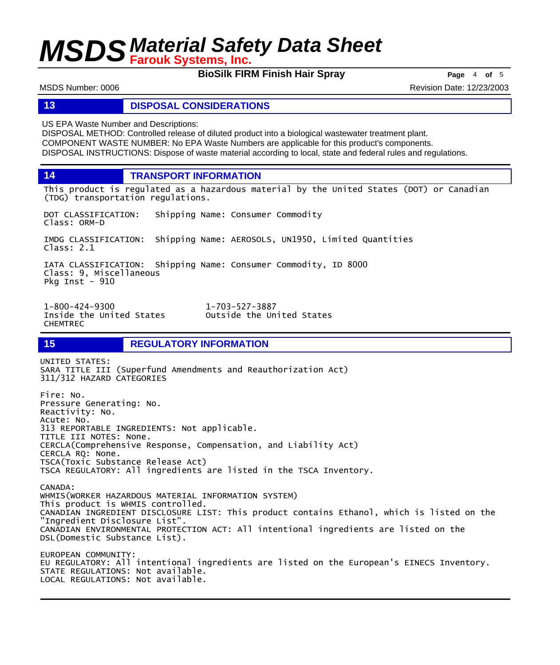**BioSilk FIRM Finish Hair Spray Page** <sup>4</sup> **of** <sup>5</sup>

MSDS Number: 0006 **Revision Date: 12/23/2003** Revision Date: 12/23/2003

### **13 DISPOSAL CONSIDERATIONS**

US EPA Waste Number and Descriptions:

DISPOSAL METHOD: Controlled release of diluted product into a biological wastewater treatment plant. COMPONENT WASTE NUMBER: No EPA Waste Numbers are applicable for this product's components. DISPOSAL INSTRUCTIONS: Dispose of waste material according to local, state and federal rules and regulations.

**14 TRANSPORT INFORMATION**

This product is regulated as a hazardous material by the United States (DOT) or Canadian (TDG) transportation regulations.

DOT CLASSIFICATION: Shipping Name: Consumer Commodity Class: ORM-D

IMDG CLASSIFICATION: Shipping Name: AEROSOLS, UN1950, Limited Quantities Class: 2.1

IATA CLASSIFICATION: Shipping Name: Consumer Commodity, ID 8000 Class: 9, Miscellaneous Pkg Inst - 910

Inside the United States CHEMTREC

1-800-424-9300 1-703-527-3887

## **15 REGULATORY INFORMATION**

UNITED STATES: SARA TITLE III (Superfund Amendments and Reauthorization Act) 311/312 HAZARD CATEGORIES Fire: No. Pressure Generating: No. Reactivity: No. Acute: No. 313 REPORTABLE INGREDIENTS: Not applicable. TITLE III NOTES: None. CERCLA(Comprehensive Response, Compensation, and Liability Act) CERCLA RQ: None. TSCA(Toxic Substance Release Act) TSCA REGULATORY: All ingredients are listed in the TSCA Inventory. CANADA: WHMIS(WORKER HAZARDOUS MATERIAL INFORMATION SYSTEM) This product is WHMIS controlled. CANADIAN INGREDIENT DISCLOSURE LIST: This product contains Ethanol, which is listed on the "Ingredient Disclosure List". CANADIAN ENVIRONMENTAL PROTECTION ACT: All intentional ingredients are listed on the DSL(Domestic Substance List). EUROPEAN COMMUNITY: EU REGULATORY: All intentional ingredients are listed on the European's EINECS Inventory.

STATE REGULATIONS: Not available.

LOCAL REGULATIONS: Not available.